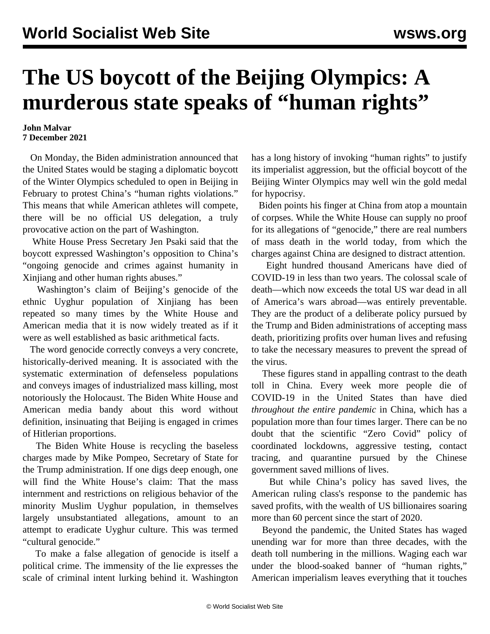## **The US boycott of the Beijing Olympics: A murderous state speaks of "human rights"**

## **John Malvar 7 December 2021**

 On Monday, the Biden administration announced that the United States would be staging a diplomatic boycott of the Winter Olympics scheduled to open in Beijing in February to protest China's "human rights violations." This means that while American athletes will compete, there will be no official US delegation, a truly provocative action on the part of Washington.

 White House Press Secretary Jen Psaki said that the boycott expressed Washington's opposition to China's "ongoing genocide and crimes against humanity in Xinjiang and other human rights abuses."

 Washington's claim of Beijing's genocide of the ethnic Uyghur population of Xinjiang has been repeated so many times by the White House and American media that it is now widely treated as if it were as well established as basic arithmetical facts.

 The word genocide correctly conveys a very concrete, historically-derived meaning. It is associated with the systematic extermination of defenseless populations and conveys images of industrialized mass killing, most notoriously the Holocaust. The Biden White House and American media bandy about this word without definition, insinuating that Beijing is engaged in crimes of Hitlerian proportions.

 The Biden White House is recycling the baseless charges made by Mike Pompeo, Secretary of State for the Trump administration. If one digs deep enough, one will find the White House's claim: That the mass internment and restrictions on religious behavior of the minority Muslim Uyghur population, in themselves largely unsubstantiated allegations, amount to an attempt to eradicate Uyghur culture. This was termed "cultural genocide."

 To make a false allegation of genocide is itself a political crime. The immensity of the lie expresses the scale of criminal intent lurking behind it. Washington has a long history of invoking "human rights" to justify its imperialist aggression, but the official boycott of the Beijing Winter Olympics may well win the gold medal for hypocrisy.

 Biden points his finger at China from atop a mountain of corpses. While the White House can supply no proof for its allegations of "genocide," there are real numbers of mass death in the world today, from which the charges against China are designed to distract attention.

 Eight hundred thousand Americans have died of COVID-19 in less than two years. The colossal scale of death—which now exceeds the total US war dead in all of America's wars abroad—was entirely preventable. They are the product of a deliberate policy pursued by the Trump and Biden administrations of accepting mass death, prioritizing profits over human lives and refusing to take the necessary measures to prevent the spread of the virus.

 These figures stand in appalling contrast to the death toll in China. Every week more people die of COVID-19 in the United States than have died *throughout the entire pandemic* in China, which has a population more than four times larger. There can be no doubt that the scientific "Zero Covid" policy of coordinated lockdowns, aggressive testing, contact tracing, and quarantine pursued by the Chinese government saved millions of lives.

 But while China's policy has saved lives, the American ruling class's response to the pandemic has saved profits, with the wealth of US billionaires soaring more than 60 percent since the start of 2020.

 Beyond the pandemic, the United States has waged unending war for more than three decades, with the death toll numbering in the millions. Waging each war under the blood-soaked banner of "human rights," American imperialism leaves everything that it touches